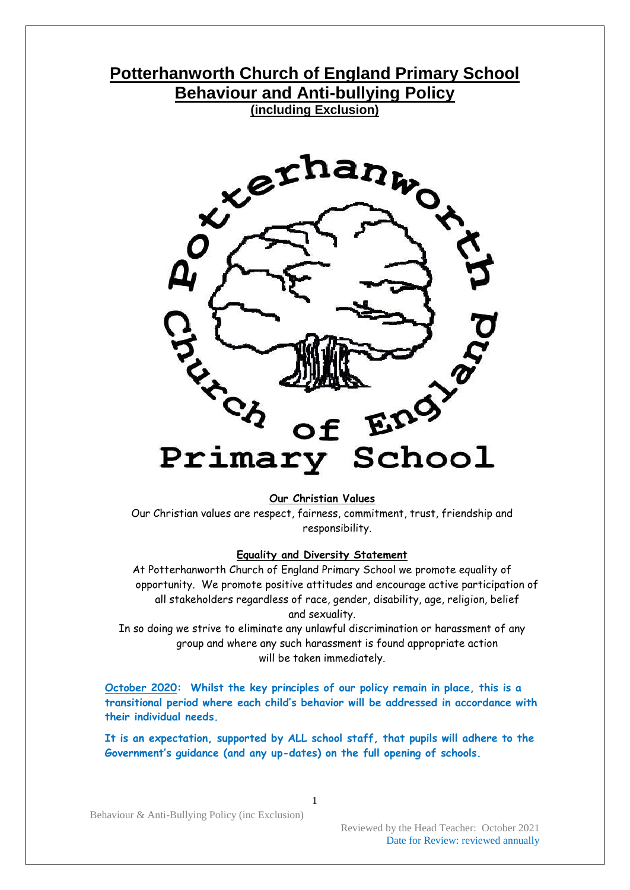# **Potterhanworth Church of England Primary School Behaviour and Anti-bullying Policy (including Exclusion)**



#### **Our Christian Values**

Our Christian values are respect, fairness, commitment, trust, friendship and responsibility.

#### **Equality and Diversity Statement**

At Potterhanworth Church of England Primary School we promote equality of opportunity. We promote positive attitudes and encourage active participation of all stakeholders regardless of race, gender, disability, age, religion, belief and sexuality.

In so doing we strive to eliminate any unlawful discrimination or harassment of any group and where any such harassment is found appropriate action will be taken immediately.

**October 2020: Whilst the key principles of our policy remain in place, this is a transitional period where each child's behavior will be addressed in accordance with their individual needs.**

**It is an expectation, supported by ALL school staff, that pupils will adhere to the Government's guidance (and any up-dates) on the full opening of schools.**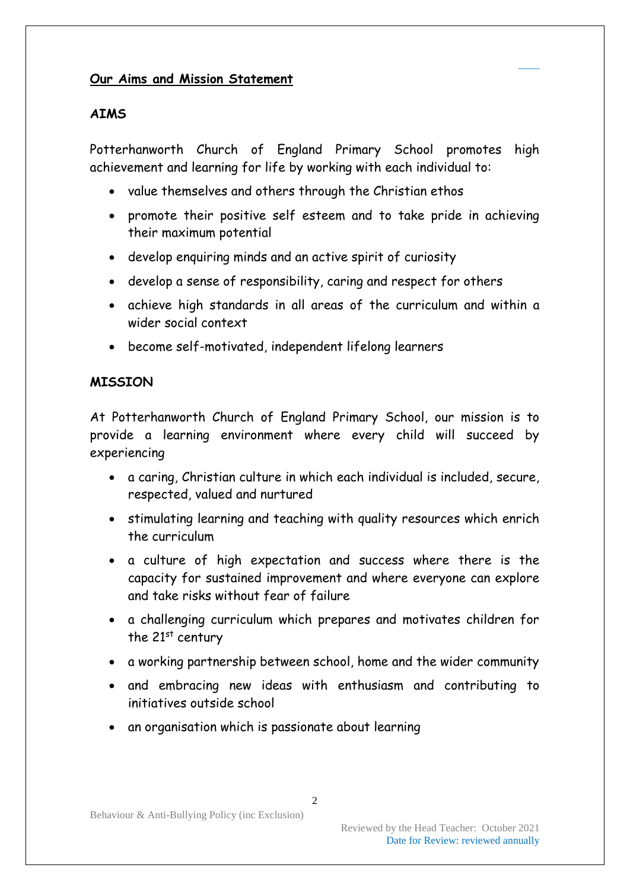### **Our Aims and Mission Statement**

### **AIMS**

Potterhanworth Church of England Primary School promotes high achievement and learning for life by working with each individual to:

 $\overline{\phantom{a}}$ 

- value themselves and others through the Christian ethos
- promote their positive self esteem and to take pride in achieving their maximum potential
- develop enquiring minds and an active spirit of curiosity
- develop a sense of responsibility, caring and respect for others
- achieve high standards in all areas of the curriculum and within a wider social context
- become self-motivated, independent lifelong learners

# **MISSION**

At Potterhanworth Church of England Primary School, our mission is to provide a learning environment where every child will succeed by experiencing

- a caring, Christian culture in which each individual is included, secure, respected, valued and nurtured
- stimulating learning and teaching with quality resources which enrich the curriculum
- a culture of high expectation and success where there is the capacity for sustained improvement and where everyone can explore and take risks without fear of failure
- a challenging curriculum which prepares and motivates children for the  $21<sup>st</sup>$  century
- a working partnership between school, home and the wider community
- and embracing new ideas with enthusiasm and contributing to initiatives outside school
- an organisation which is passionate about learning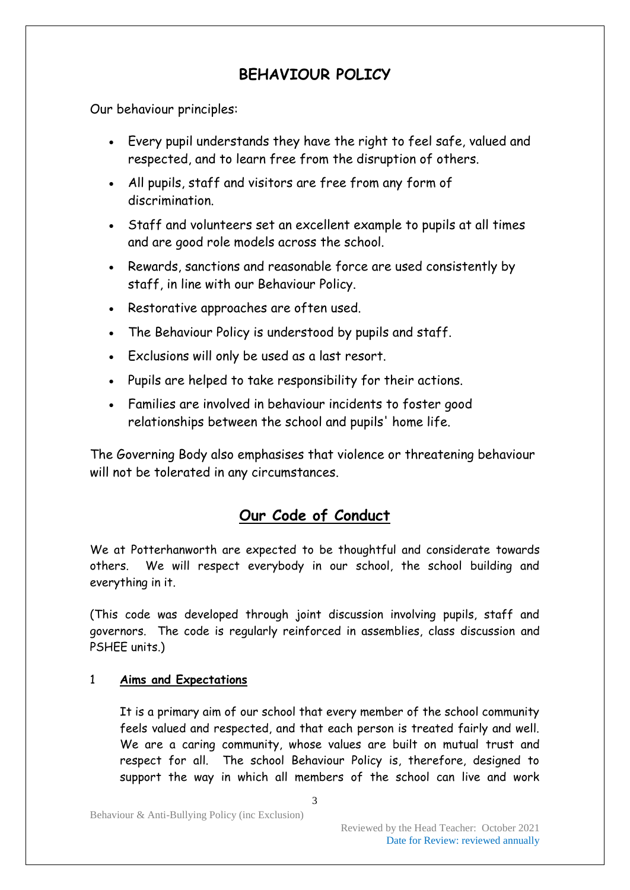# **BEHAVIOUR POLICY**

Our behaviour principles:

- Every pupil understands they have the right to feel safe, valued and respected, and to learn free from the disruption of others.
- All pupils, staff and visitors are free from any form of discrimination.
- Staff and volunteers set an excellent example to pupils at all times and are good role models across the school.
- Rewards, sanctions and reasonable force are used consistently by staff, in line with our Behaviour Policy.
- Restorative approaches are often used.
- The Behaviour Policy is understood by pupils and staff.
- Exclusions will only be used as a last resort.
- Pupils are helped to take responsibility for their actions.
- Families are involved in behaviour incidents to foster good relationships between the school and pupils' home life.

The Governing Body also emphasises that violence or threatening behaviour will not be tolerated in any circumstances.

# **Our Code of Conduct**

We at Potterhanworth are expected to be thoughtful and considerate towards others. We will respect everybody in our school, the school building and everything in it.

(This code was developed through joint discussion involving pupils, staff and governors. The code is regularly reinforced in assemblies, class discussion and PSHEE units.)

#### 1 **Aims and Expectations**

It is a primary aim of our school that every member of the school community feels valued and respected, and that each person is treated fairly and well. We are a caring community, whose values are built on mutual trust and respect for all. The school Behaviour Policy is, therefore, designed to support the way in which all members of the school can live and work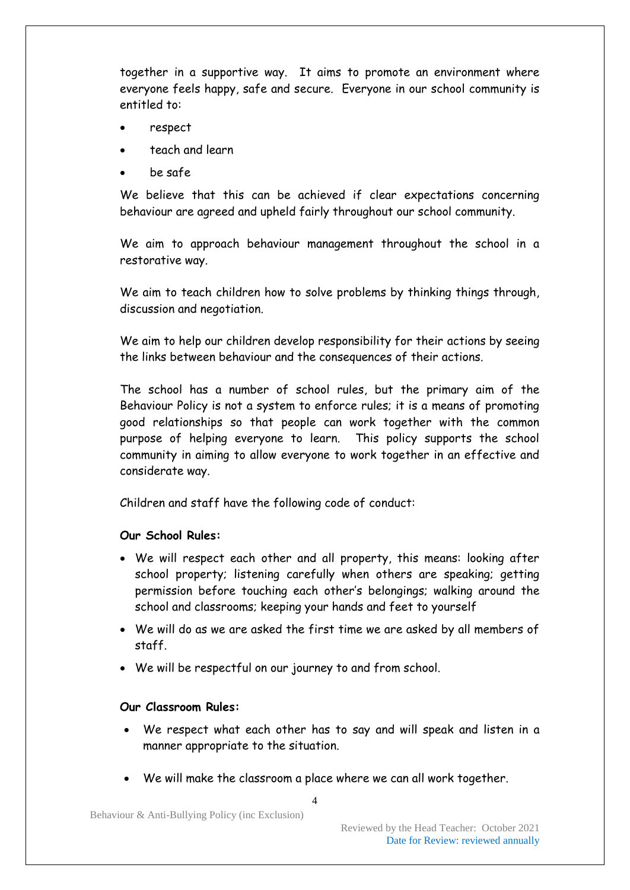together in a supportive way. It aims to promote an environment where everyone feels happy, safe and secure. Everyone in our school community is entitled to:

- respect
- teach and learn
- be safe

We believe that this can be achieved if clear expectations concerning behaviour are agreed and upheld fairly throughout our school community.

We aim to approach behaviour management throughout the school in a restorative way.

We aim to teach children how to solve problems by thinking things through, discussion and negotiation.

We aim to help our children develop responsibility for their actions by seeing the links between behaviour and the consequences of their actions.

The school has a number of school rules, but the primary aim of the Behaviour Policy is not a system to enforce rules; it is a means of promoting good relationships so that people can work together with the common purpose of helping everyone to learn. This policy supports the school community in aiming to allow everyone to work together in an effective and considerate way.

Children and staff have the following code of conduct:

#### **Our School Rules:**

- We will respect each other and all property, this means: looking after school property; listening carefully when others are speaking; getting permission before touching each other's belongings; walking around the school and classrooms; keeping your hands and feet to yourself
- We will do as we are asked the first time we are asked by all members of staff.
- We will be respectful on our journey to and from school.

#### **Our Classroom Rules:**

- We respect what each other has to say and will speak and listen in a manner appropriate to the situation.
- We will make the classroom a place where we can all work together.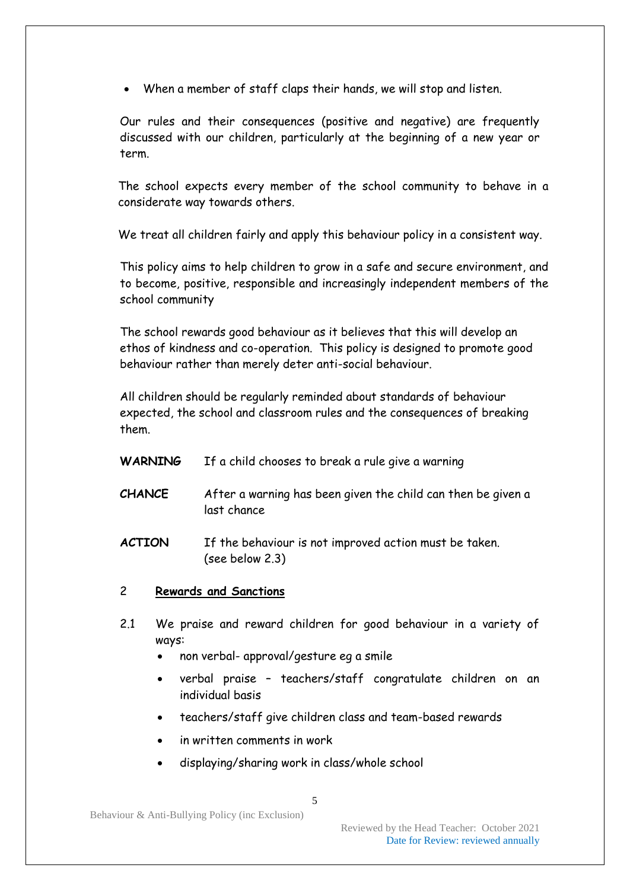When a member of staff claps their hands, we will stop and listen.

Our rules and their consequences (positive and negative) are frequently discussed with our children, particularly at the beginning of a new year or term.

The school expects every member of the school community to behave in a considerate way towards others.

We treat all children fairly and apply this behaviour policy in a consistent way.

This policy aims to help children to grow in a safe and secure environment, and to become, positive, responsible and increasingly independent members of the school community

The school rewards good behaviour as it believes that this will develop an ethos of kindness and co-operation. This policy is designed to promote good behaviour rather than merely deter anti-social behaviour.

All children should be regularly reminded about standards of behaviour expected, the school and classroom rules and the consequences of breaking them.

| <b>WARNING</b> | If a child chooses to break a rule give a warning                           |
|----------------|-----------------------------------------------------------------------------|
| <b>CHANCE</b>  | After a warning has been given the child can then be given a<br>last chance |
| <b>ACTION</b>  | If the behaviour is not improved action must be taken.<br>(see below 2.3)   |

- 2 **Rewards and Sanctions**
- 2.1 We praise and reward children for good behaviour in a variety of ways:
	- non verbal- approval/gesture eg a smile
	- verbal praise teachers/staff congratulate children on an individual basis
	- teachers/staff give children class and team-based rewards
	- in written comments in work
	- displaying/sharing work in class/whole school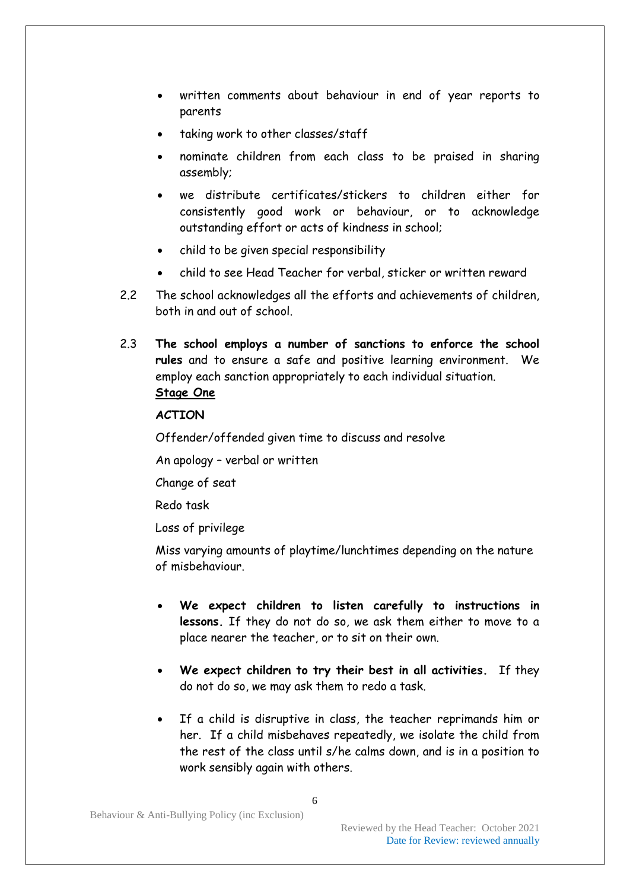- written comments about behaviour in end of year reports to parents
- taking work to other classes/staff
- nominate children from each class to be praised in sharing assembly;
- we distribute certificates/stickers to children either for consistently good work or behaviour, or to acknowledge outstanding effort or acts of kindness in school;
- child to be given special responsibility
- child to see Head Teacher for verbal, sticker or written reward
- 2.2 The school acknowledges all the efforts and achievements of children, both in and out of school.
- 2.3 **The school employs a number of sanctions to enforce the school rules** and to ensure a safe and positive learning environment. We employ each sanction appropriately to each individual situation. **Stage One**

#### **ACTION**

Offender/offended given time to discuss and resolve

An apology – verbal or written

Change of seat

Redo task

Loss of privilege

Miss varying amounts of playtime/lunchtimes depending on the nature of misbehaviour.

- **We expect children to listen carefully to instructions in lessons.** If they do not do so, we ask them either to move to a place nearer the teacher, or to sit on their own.
- **We expect children to try their best in all activities.** If they do not do so, we may ask them to redo a task.
- If a child is disruptive in class, the teacher reprimands him or her. If a child misbehaves repeatedly, we isolate the child from the rest of the class until s/he calms down, and is in a position to work sensibly again with others.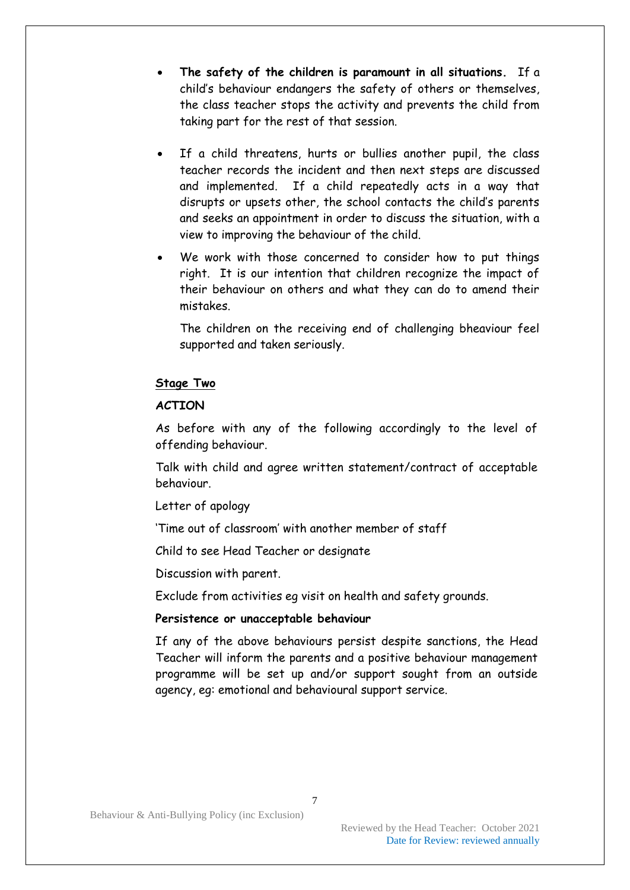- **The safety of the children is paramount in all situations.** If a child's behaviour endangers the safety of others or themselves, the class teacher stops the activity and prevents the child from taking part for the rest of that session.
- If a child threatens, hurts or bullies another pupil, the class teacher records the incident and then next steps are discussed and implemented. If a child repeatedly acts in a way that disrupts or upsets other, the school contacts the child's parents and seeks an appointment in order to discuss the situation, with a view to improving the behaviour of the child.
- We work with those concerned to consider how to put things right. It is our intention that children recognize the impact of their behaviour on others and what they can do to amend their mistakes.

The children on the receiving end of challenging bheaviour feel supported and taken seriously.

#### **Stage Two**

#### **ACTION**

As before with any of the following accordingly to the level of offending behaviour.

Talk with child and agree written statement/contract of acceptable behaviour.

Letter of apology

'Time out of classroom' with another member of staff

Child to see Head Teacher or designate

Discussion with parent.

Exclude from activities eg visit on health and safety grounds.

#### **Persistence or unacceptable behaviour**

If any of the above behaviours persist despite sanctions, the Head Teacher will inform the parents and a positive behaviour management programme will be set up and/or support sought from an outside agency, eg: emotional and behavioural support service.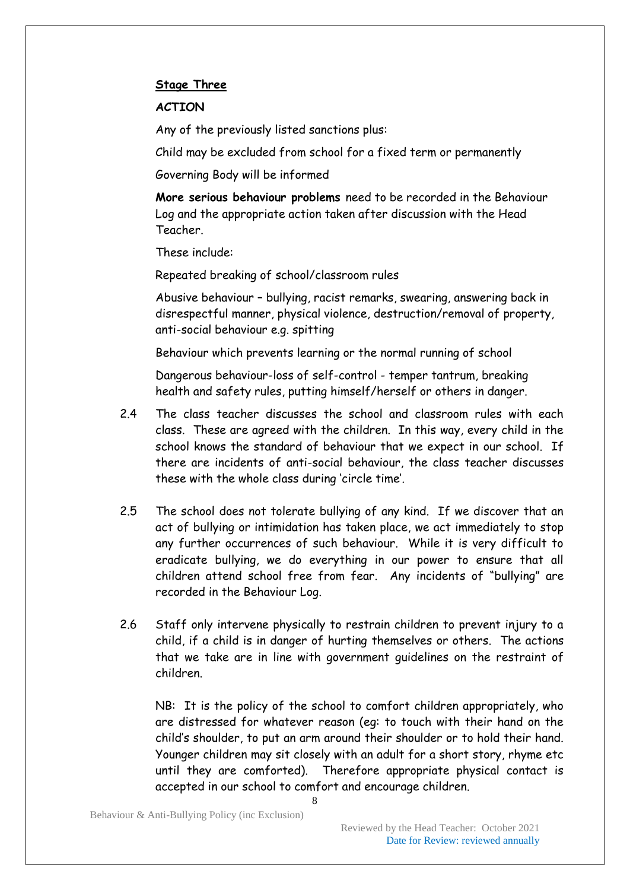#### **Stage Three**

#### **ACTION**

Any of the previously listed sanctions plus:

Child may be excluded from school for a fixed term or permanently

Governing Body will be informed

**More serious behaviour problems** need to be recorded in the Behaviour Log and the appropriate action taken after discussion with the Head Teacher.

These include:

Repeated breaking of school/classroom rules

Abusive behaviour – bullying, racist remarks, swearing, answering back in disrespectful manner, physical violence, destruction/removal of property, anti-social behaviour e.g. spitting

Behaviour which prevents learning or the normal running of school

Dangerous behaviour-loss of self-control - temper tantrum, breaking health and safety rules, putting himself/herself or others in danger.

- 2.4 The class teacher discusses the school and classroom rules with each class. These are agreed with the children. In this way, every child in the school knows the standard of behaviour that we expect in our school. If there are incidents of anti-social behaviour, the class teacher discusses these with the whole class during 'circle time'.
- 2.5 The school does not tolerate bullying of any kind. If we discover that an act of bullying or intimidation has taken place, we act immediately to stop any further occurrences of such behaviour. While it is very difficult to eradicate bullying, we do everything in our power to ensure that all children attend school free from fear. Any incidents of "bullying" are recorded in the Behaviour Log.
- 2.6 Staff only intervene physically to restrain children to prevent injury to a child, if a child is in danger of hurting themselves or others. The actions that we take are in line with government guidelines on the restraint of children.

NB: It is the policy of the school to comfort children appropriately, who are distressed for whatever reason (eg: to touch with their hand on the child's shoulder, to put an arm around their shoulder or to hold their hand. Younger children may sit closely with an adult for a short story, rhyme etc until they are comforted). Therefore appropriate physical contact is accepted in our school to comfort and encourage children.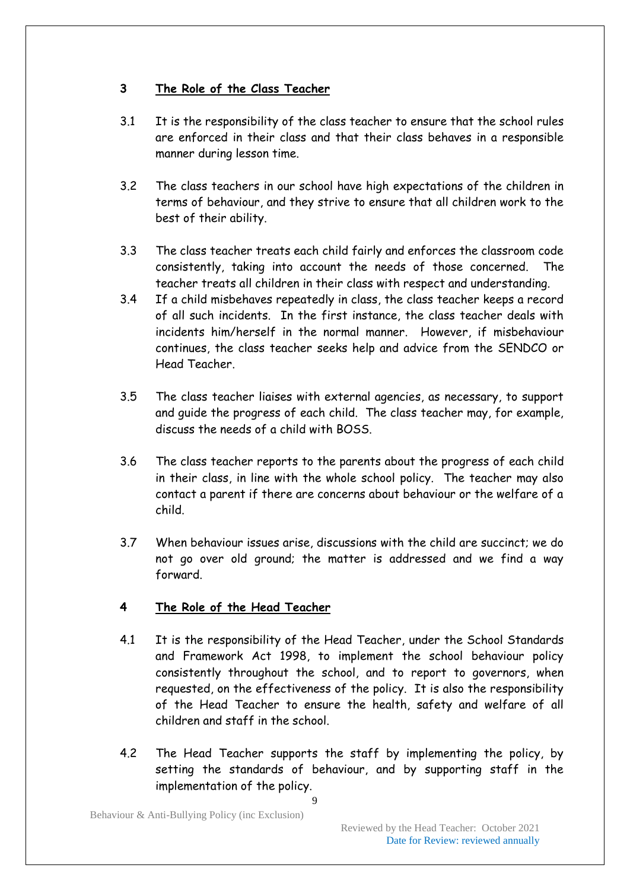### **3 The Role of the Class Teacher**

- 3.1 It is the responsibility of the class teacher to ensure that the school rules are enforced in their class and that their class behaves in a responsible manner during lesson time.
- 3.2 The class teachers in our school have high expectations of the children in terms of behaviour, and they strive to ensure that all children work to the best of their ability.
- 3.3 The class teacher treats each child fairly and enforces the classroom code consistently, taking into account the needs of those concerned. The teacher treats all children in their class with respect and understanding.
- 3.4 If a child misbehaves repeatedly in class, the class teacher keeps a record of all such incidents. In the first instance, the class teacher deals with incidents him/herself in the normal manner. However, if misbehaviour continues, the class teacher seeks help and advice from the SENDCO or Head Teacher.
- 3.5 The class teacher liaises with external agencies, as necessary, to support and guide the progress of each child. The class teacher may, for example, discuss the needs of a child with BOSS.
- 3.6 The class teacher reports to the parents about the progress of each child in their class, in line with the whole school policy. The teacher may also contact a parent if there are concerns about behaviour or the welfare of a child.
- 3.7 When behaviour issues arise, discussions with the child are succinct; we do not go over old ground; the matter is addressed and we find a way forward.

# **4 The Role of the Head Teacher**

- 4.1 It is the responsibility of the Head Teacher, under the School Standards and Framework Act 1998, to implement the school behaviour policy consistently throughout the school, and to report to governors, when requested, on the effectiveness of the policy. It is also the responsibility of the Head Teacher to ensure the health, safety and welfare of all children and staff in the school.
- 4.2 The Head Teacher supports the staff by implementing the policy, by setting the standards of behaviour, and by supporting staff in the implementation of the policy.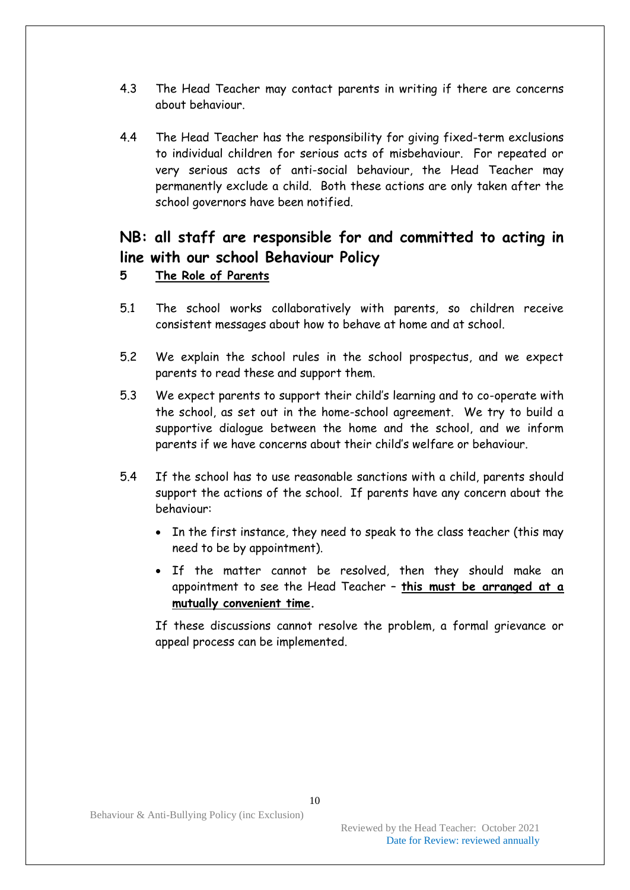- 4.3 The Head Teacher may contact parents in writing if there are concerns about behaviour.
- 4.4 The Head Teacher has the responsibility for giving fixed-term exclusions to individual children for serious acts of misbehaviour. For repeated or very serious acts of anti-social behaviour, the Head Teacher may permanently exclude a child. Both these actions are only taken after the school governors have been notified.

# **NB: all staff are responsible for and committed to acting in line with our school Behaviour Policy**

#### **5 The Role of Parents**

- 5.1 The school works collaboratively with parents, so children receive consistent messages about how to behave at home and at school.
- 5.2 We explain the school rules in the school prospectus, and we expect parents to read these and support them.
- 5.3 We expect parents to support their child's learning and to co-operate with the school, as set out in the home-school agreement. We try to build a supportive dialogue between the home and the school, and we inform parents if we have concerns about their child's welfare or behaviour.
- 5.4 If the school has to use reasonable sanctions with a child, parents should support the actions of the school. If parents have any concern about the behaviour:
	- In the first instance, they need to speak to the class teacher (this may need to be by appointment).
	- If the matter cannot be resolved, then they should make an appointment to see the Head Teacher – **this must be arranged at a mutually convenient time.**

If these discussions cannot resolve the problem, a formal grievance or appeal process can be implemented.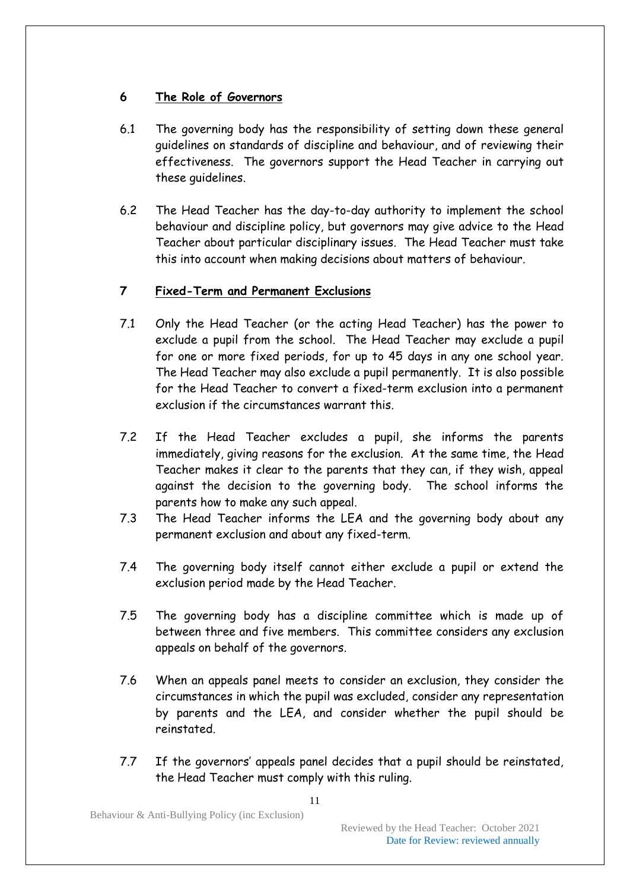# **6 The Role of Governors**

- 6.1 The governing body has the responsibility of setting down these general guidelines on standards of discipline and behaviour, and of reviewing their effectiveness. The governors support the Head Teacher in carrying out these guidelines.
- 6.2 The Head Teacher has the day-to-day authority to implement the school behaviour and discipline policy, but governors may give advice to the Head Teacher about particular disciplinary issues. The Head Teacher must take this into account when making decisions about matters of behaviour.

# **7 Fixed-Term and Permanent Exclusions**

- 7.1 Only the Head Teacher (or the acting Head Teacher) has the power to exclude a pupil from the school. The Head Teacher may exclude a pupil for one or more fixed periods, for up to 45 days in any one school year. The Head Teacher may also exclude a pupil permanently. It is also possible for the Head Teacher to convert a fixed-term exclusion into a permanent exclusion if the circumstances warrant this.
- 7.2 If the Head Teacher excludes a pupil, she informs the parents immediately, giving reasons for the exclusion. At the same time, the Head Teacher makes it clear to the parents that they can, if they wish, appeal against the decision to the governing body. The school informs the parents how to make any such appeal.
- 7.3 The Head Teacher informs the LEA and the governing body about any permanent exclusion and about any fixed-term.
- 7.4 The governing body itself cannot either exclude a pupil or extend the exclusion period made by the Head Teacher.
- 7.5 The governing body has a discipline committee which is made up of between three and five members. This committee considers any exclusion appeals on behalf of the governors.
- 7.6 When an appeals panel meets to consider an exclusion, they consider the circumstances in which the pupil was excluded, consider any representation by parents and the LEA, and consider whether the pupil should be reinstated.
- 7.7 If the governors' appeals panel decides that a pupil should be reinstated, the Head Teacher must comply with this ruling.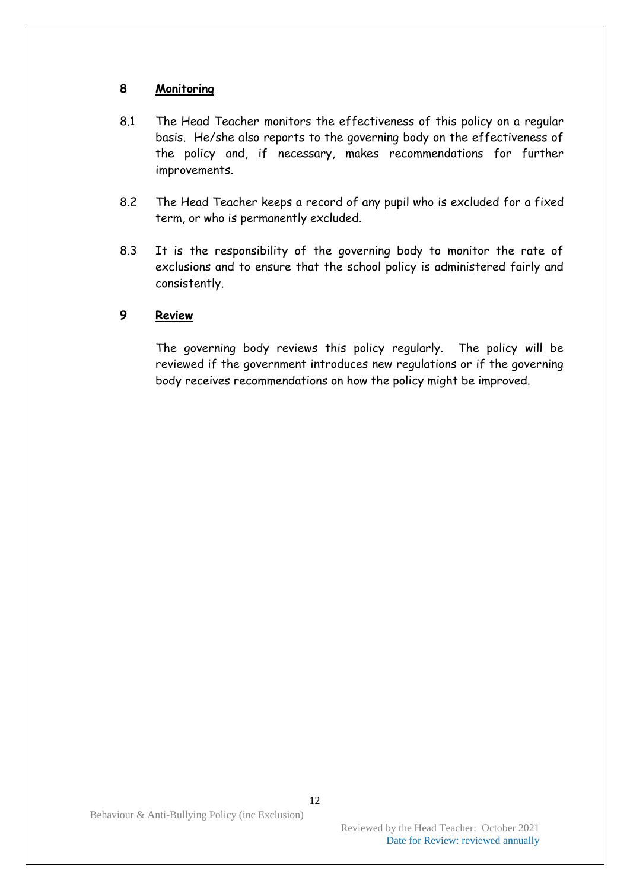#### **8 Monitoring**

- 8.1 The Head Teacher monitors the effectiveness of this policy on a regular basis. He/she also reports to the governing body on the effectiveness of the policy and, if necessary, makes recommendations for further improvements.
- 8.2 The Head Teacher keeps a record of any pupil who is excluded for a fixed term, or who is permanently excluded.
- 8.3 It is the responsibility of the governing body to monitor the rate of exclusions and to ensure that the school policy is administered fairly and consistently.

#### **9 Review**

The governing body reviews this policy regularly. The policy will be reviewed if the government introduces new regulations or if the governing body receives recommendations on how the policy might be improved.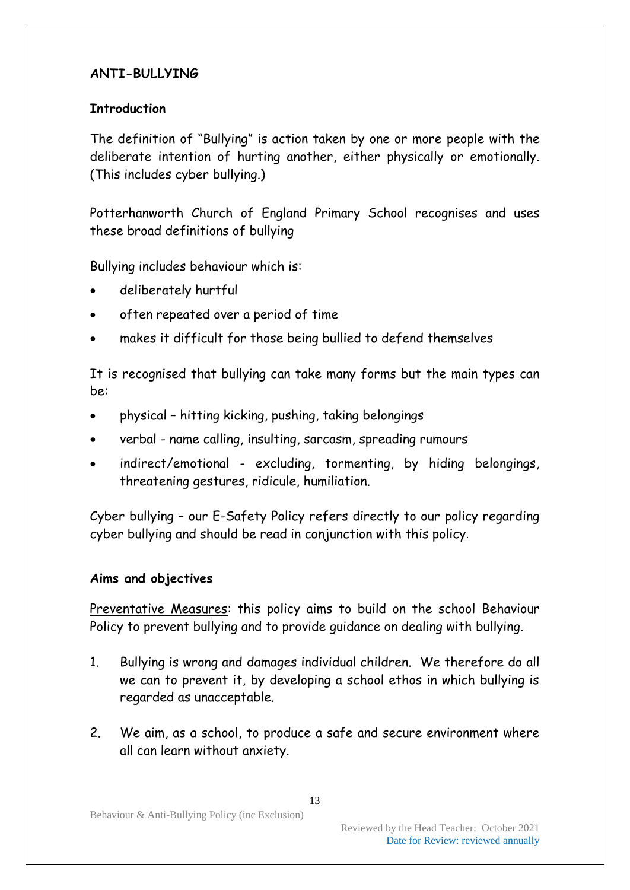# **ANTI-BULLYING**

### **Introduction**

The definition of "Bullying" is action taken by one or more people with the deliberate intention of hurting another, either physically or emotionally. (This includes cyber bullying.)

Potterhanworth Church of England Primary School recognises and uses these broad definitions of bullying

Bullying includes behaviour which is:

- deliberately hurtful
- often repeated over a period of time
- makes it difficult for those being bullied to defend themselves

It is recognised that bullying can take many forms but the main types can be:

- physical hitting kicking, pushing, taking belongings
- verbal name calling, insulting, sarcasm, spreading rumours
- indirect/emotional excluding, tormenting, by hiding belongings, threatening gestures, ridicule, humiliation.

Cyber bullying – our E-Safety Policy refers directly to our policy regarding cyber bullying and should be read in conjunction with this policy.

#### **Aims and objectives**

Preventative Measures: this policy aims to build on the school Behaviour Policy to prevent bullying and to provide guidance on dealing with bullying.

- 1. Bullying is wrong and damages individual children. We therefore do all we can to prevent it, by developing a school ethos in which bullying is regarded as unacceptable.
- 2. We aim, as a school, to produce a safe and secure environment where all can learn without anxiety.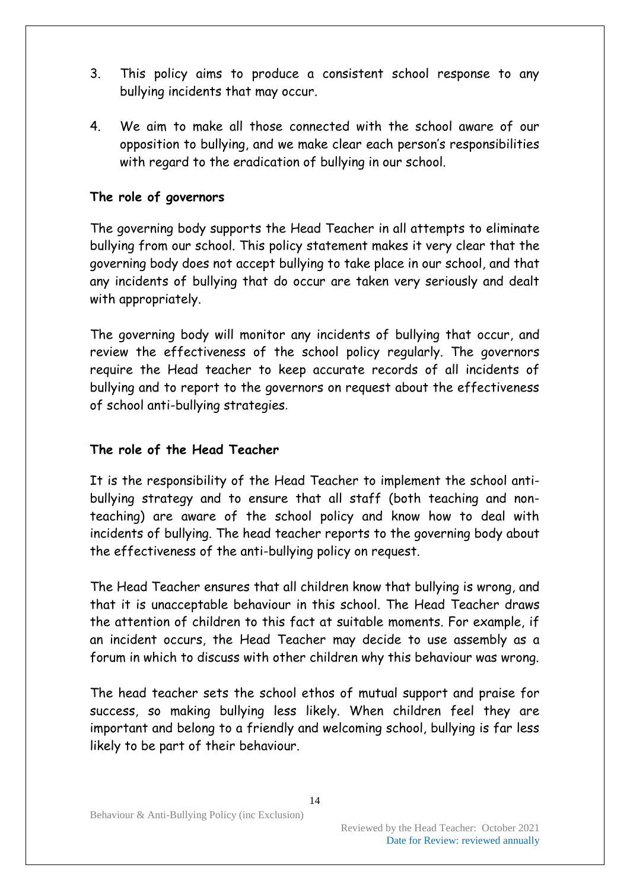- 3. This policy aims to produce a consistent school response to any bullying incidents that may occur.
- 4. We aim to make all those connected with the school aware of our opposition to bullying, and we make clear each person's responsibilities with regard to the eradication of bullying in our school.

# **The role of governors**

The governing body supports the Head Teacher in all attempts to eliminate bullying from our school. This policy statement makes it very clear that the governing body does not accept bullying to take place in our school, and that any incidents of bullying that do occur are taken very seriously and dealt with appropriately.

The governing body will monitor any incidents of bullying that occur, and review the effectiveness of the school policy regularly. The governors require the Head teacher to keep accurate records of all incidents of bullying and to report to the governors on request about the effectiveness of school anti-bullying strategies.

### **The role of the Head Teacher**

It is the responsibility of the Head Teacher to implement the school antibullying strategy and to ensure that all staff (both teaching and nonteaching) are aware of the school policy and know how to deal with incidents of bullying. The head teacher reports to the governing body about the effectiveness of the anti-bullying policy on request.

The Head Teacher ensures that all children know that bullying is wrong, and that it is unacceptable behaviour in this school. The Head Teacher draws the attention of children to this fact at suitable moments. For example, if an incident occurs, the Head Teacher may decide to use assembly as a forum in which to discuss with other children why this behaviour was wrong.

The head teacher sets the school ethos of mutual support and praise for success, so making bullying less likely. When children feel they are important and belong to a friendly and welcoming school, bullying is far less likely to be part of their behaviour.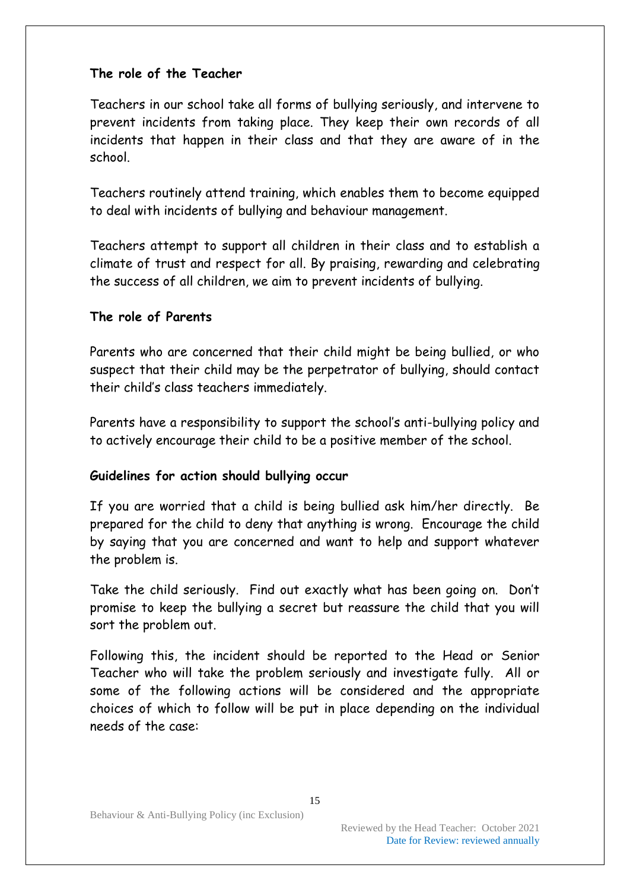### **The role of the Teacher**

Teachers in our school take all forms of bullying seriously, and intervene to prevent incidents from taking place. They keep their own records of all incidents that happen in their class and that they are aware of in the school.

Teachers routinely attend training, which enables them to become equipped to deal with incidents of bullying and behaviour management.

Teachers attempt to support all children in their class and to establish a climate of trust and respect for all. By praising, rewarding and celebrating the success of all children, we aim to prevent incidents of bullying.

### **The role of Parents**

Parents who are concerned that their child might be being bullied, or who suspect that their child may be the perpetrator of bullying, should contact their child's class teachers immediately.

Parents have a responsibility to support the school's anti-bullying policy and to actively encourage their child to be a positive member of the school.

# **Guidelines for action should bullying occur**

If you are worried that a child is being bullied ask him/her directly. Be prepared for the child to deny that anything is wrong. Encourage the child by saying that you are concerned and want to help and support whatever the problem is.

Take the child seriously. Find out exactly what has been going on. Don't promise to keep the bullying a secret but reassure the child that you will sort the problem out.

Following this, the incident should be reported to the Head or Senior Teacher who will take the problem seriously and investigate fully. All or some of the following actions will be considered and the appropriate choices of which to follow will be put in place depending on the individual needs of the case: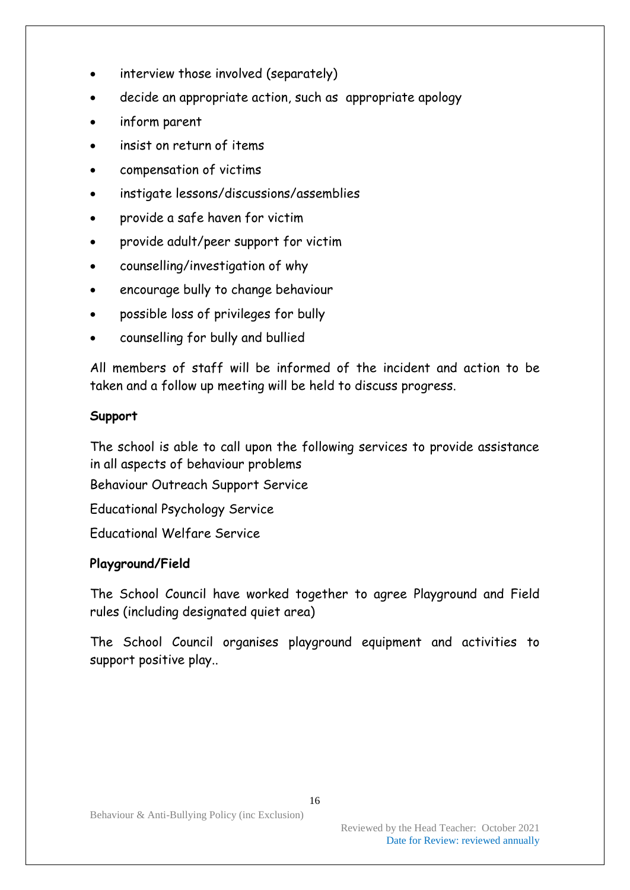- interview those involved (separately)
- decide an appropriate action, such as appropriate apology
- inform parent
- insist on return of items
- compensation of victims
- instigate lessons/discussions/assemblies
- provide a safe haven for victim
- provide adult/peer support for victim
- counselling/investigation of why
- encourage bully to change behaviour
- possible loss of privileges for bully
- counselling for bully and bullied

All members of staff will be informed of the incident and action to be taken and a follow up meeting will be held to discuss progress.

# **Support**

The school is able to call upon the following services to provide assistance in all aspects of behaviour problems

Behaviour Outreach Support Service

Educational Psychology Service

Educational Welfare Service

# **Playground/Field**

The School Council have worked together to agree Playground and Field rules (including designated quiet area)

The School Council organises playground equipment and activities to support positive play..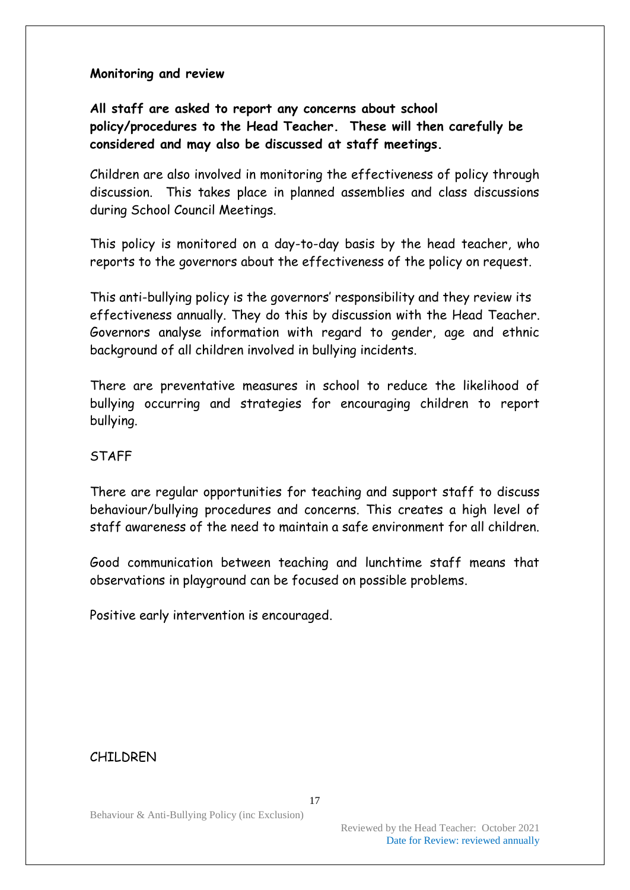### **Monitoring and review**

# **All staff are asked to report any concerns about school policy/procedures to the Head Teacher. These will then carefully be considered and may also be discussed at staff meetings.**

Children are also involved in monitoring the effectiveness of policy through discussion. This takes place in planned assemblies and class discussions during School Council Meetings.

This policy is monitored on a day-to-day basis by the head teacher, who reports to the governors about the effectiveness of the policy on request.

This anti-bullying policy is the governors' responsibility and they review its effectiveness annually. They do this by discussion with the Head Teacher. Governors analyse information with regard to gender, age and ethnic background of all children involved in bullying incidents.

There are preventative measures in school to reduce the likelihood of bullying occurring and strategies for encouraging children to report bullying.

#### STAFF

There are regular opportunities for teaching and support staff to discuss behaviour/bullying procedures and concerns. This creates a high level of staff awareness of the need to maintain a safe environment for all children.

Good communication between teaching and lunchtime staff means that observations in playground can be focused on possible problems.

Positive early intervention is encouraged.

# CHILDREN

Behaviour & Anti-Bullying Policy (inc Exclusion)